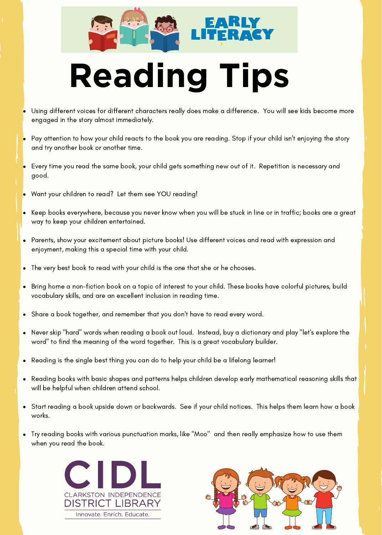



# **Reading Tips**

- Using different voices for different characters really does make a difference. You will see kids become more engaged in the story almost immediately.
- Pay attention to how your child reacts to the book you are reading. Stop if your child isn't enjoying the story and try another book or another time.
- Every time you read the same book, your child gets something new out of it. Repetition is necessary and good.
- Want your children to read? Let them see YOU reading!
- Keep books everywhere, because you never know when you will be stuck in line or in traffic; books are a great  $\bullet$ way to keep your children entertained.
- Parents, show your excitement about picture books! Use different voices and read with expression and enjoyment, making this a special time with your child.
- The very best book to read with your child is the one that she or he chooses.  $\bullet$
- Bring home a non-fiction book on a topic of interest to your child. These books have colorful pictures, build  $\bullet$ vocabulary skills, and are an excellent inclusion in reading time.
- Share a book together, and remember that you don't have to read every word.  $\bullet$
- Never skip "hard" words when reading a book out loud. Instead, buy a dictionary and play "let's explore the  $\bullet$ word" to find the meaning of the word together. This is a great vocabulary builder.
- $\bullet$ Reading is the single best thing you can do to help your child be a lifelong learner!
- $\bullet$ Reading books with basic shapes and patterns helps children develop early mathematical reasoning skills that will be helpful when children attend school.
- Start reading a book upside down or backwards. See if your child notices. This helps them learn how a book  $\ddot{\phantom{0}}$ works.
- Try reading books with various punctuation marks, like "Moo" and then really emphasize how to use them when you read the book.



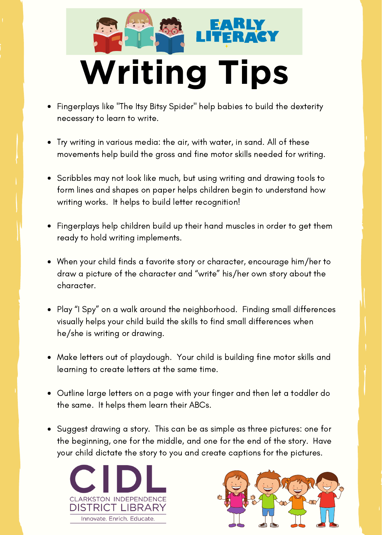# **Writing Tips**

- Fingerplays like "The Itsy Bitsy Spider" help babies to build the dexterity necessary to learn to write.
- Try writing in various media: the air, with water, in sand. All of these movements help build the gross and fine motor skills needed for writing.
- Scribbles may not look like much, but using writing and drawing tools to form lines and shapes on paper helps children begin to understand how writing works. It helps to build letter recognition!
- Fingerplays help children build up their hand muscles in order to get them ready to hold writing implements.
- When your child finds a favorite story or character, encourage him/her to draw a picture of the character and "write" his/her own story about the character.
- Play "I Spy" on a walk around the neighborhood. Finding small differences visually helps your child build the skills to find small differences when he/she is writing or drawing.
- Make letters out of playdough. Your child is building fine motor skills and learning to create letters at the same time.
- Outline large letters on a page with your finger and then let a toddler do the same. It helps them learn their ABCs.
- Suggest drawing a story. This can be as simple as three pictures: one for the beginning, one for the middle, and one for the end of the story. Have your child dictate the story to you and create captions for the pictures.



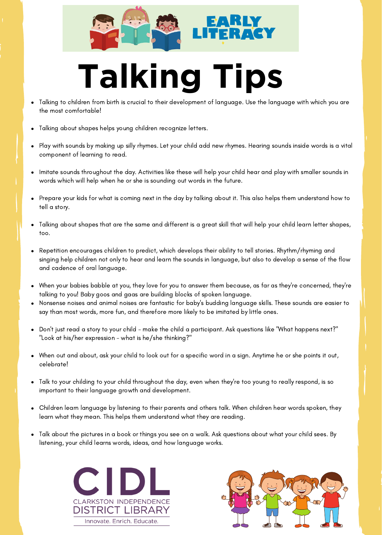

# **Talking Tips**

- Talking to children from birth is crucial to their development of language. Use the language with which you are the most comfortable!
- Talking about shapes helps young children recognize letters.
- Play with sounds by making up silly rhymes. Let your child add new rhymes. Hearing sounds inside words is a vital component of learning to read.
- Imitate sounds throughout the day. Activities like these will help your child hear and play with smaller sounds in words which will help when he or she is sounding out words in the future.
- Prepare your kids for what is coming next in the day by talking about it. This also helps them understand how to tell a story.
- Talking about shapes that are the same and different is a great skill that will help your child learn letter shapes, too.
- Repetition encourages children to predict, which develops their ability to tell stories. Rhythm/rhyming and singing help children not only to hear and learn the sounds in language, but also to develop a sense of the flow and cadence of oral language.
- When your babies babble at you, they love for you to answer them because, as far as they're concerned, they're talking to you! Baby goos and gaas are building blocks of spoken language.
- Nonsense noises and animal noises are fantastic for baby's budding language skills. These sounds are easier to say than most words, more fun, and therefore more likely to be imitated by little ones.
- Don't just read a story to your child make the child a participant. Ask questions like "What happens next?" "Look at his/her expression - what is he/she thinking?"
- When out and about, ask your child to look out for a specific word in a sign. Anytime he or she points it out, celebrate!
- Talk to your childing to your child throughout the day, even when they're too young to really respond, is so important to their language growth and development.
- Children learn language by listening to their parents and others talk. When children hear words spoken, they learn what they mean. This helps them understand what they are reading.
- Talk about the pictures in a book or things you see on a walk. Ask questions about what your child sees. By listening, your child learns words, ideas, and how language works.



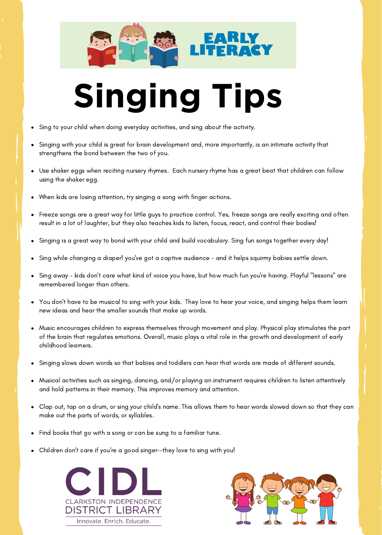

#### **Singing Tips**

- Sing to your child when doing everyday activities, and sing about the activity.
- Singing with your child is great for brain development and, more importantly, is an intimate activity that strengthens the bond between the two of you.
- Use shaker eggs when reciting nursery rhymes. Each nursery rhyme has a great beat that children can follow using the shaker egg.
- When kids are losing attention, try singing a song with finger actions.
- Freeze songs are a great way for little guys to practice control. Yes, freeze songs are really exciting and often result in a lot of laughter, but they also teaches kids to listen, focus, react, and control their bodies!
- Singing is a great way to bond with your child and build vocabulary. Sing fun songs together every day!
- Sing while changing a diaper! you've got a captive audience and it helps squirmy babies settle down.
- Sing away kids don't care what kind of voice you have, but how much fun you're having. Playful "lessons" are remembered longer than others.
- You don't have to be musical to sing with your kids. They love to hear your voice, and singing helps them learn new ideas and hear the smaller sounds that make up words.
- Music encourages children to express themselves through movement and play. Physical play stimulates the part of the brain that regulates emotions. Overall, music plays a vital role in the growth and development of early childhood learners.
- Singing slows down words so that babies and toddlers can hear that words are made of different sounds.
- Musical activities such as singing, dancing, and/or playing an instrument requires children to listen attentively and hold patterns in their memory. This improves memory and attention.
- Clap out, tap on a drum, or sing your child's name. This allows them to hear words slowed down so that they can make out the parts of words, or syllables.
- Find books that go with a song or can be sung to a familiar tune.
- Children don't care if you're a good singer--they love to sing with you!